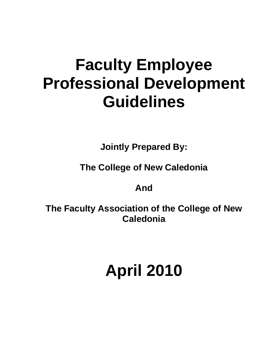# **Faculty Employee Professional Development Guidelines**

**Jointly Prepared By:**

**The College of New Caledonia**

## **And**

**The Faculty Association of the College of New Caledonia**

# **April 2010**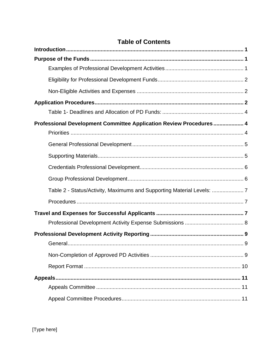| Professional Development Committee Application Review Procedures 4  |   |
|---------------------------------------------------------------------|---|
|                                                                     |   |
|                                                                     |   |
|                                                                     |   |
|                                                                     |   |
|                                                                     |   |
| Table 2 - Status/Activity, Maximums and Supporting Material Levels: |   |
|                                                                     |   |
|                                                                     |   |
|                                                                     |   |
|                                                                     |   |
|                                                                     | 9 |
|                                                                     |   |
|                                                                     |   |
| Appeals                                                             |   |
|                                                                     |   |
|                                                                     |   |

## **Table of Contents**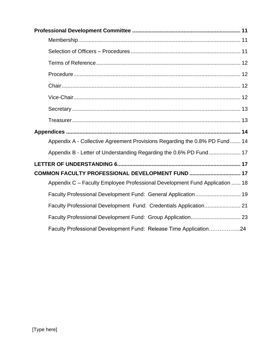| Appendix A - Collective Agreement Provisions Regarding the 0.8% PD Fund 14  |
|-----------------------------------------------------------------------------|
| Appendix B - Letter of Understanding Regarding the 0.6% PD Fund  17         |
|                                                                             |
| COMMON FACULTY PROFESSIONAL DEVELOPMENT FUND  17                            |
| Appendix C - Faculty Employee Professional Development Fund Application  18 |
| Faculty Professional Development Fund: General Application 19               |
| Faculty Professional Development Fund: Credentials Application 21           |
|                                                                             |
| Faculty Professional Development Fund: Release Time Application24           |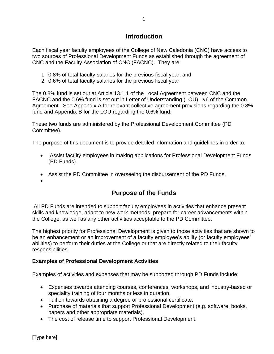## **Introduction**

<span id="page-3-0"></span>Each fiscal year faculty employees of the College of New Caledonia (CNC) have access to two sources of Professional Development Funds as established through the agreement of CNC and the Faculty Association of CNC (FACNC). They are:

- 1. 0.8% of total faculty salaries for the previous fiscal year; and
- 2. 0.6% of total faculty salaries for the previous fiscal year

The 0.8% fund is set out at Article 13.1.1 of the Local Agreement between CNC and the FACNC and the 0.6% fund is set out in Letter of Understanding (LOU) #6 of the Common Agreement. See Appendix A for relevant collective agreement provisions regarding the 0.8% fund and Appendix B for the LOU regarding the 0.6% fund.

These two funds are administered by the Professional Development Committee (PD Committee).

The purpose of this document is to provide detailed information and guidelines in order to:

- Assist faculty employees in making applications for Professional Development Funds (PD Funds).
- Assist the PD Committee in overseeing the disbursement of the PD Funds.
- <span id="page-3-1"></span>•

## **Purpose of the Funds**

All PD Funds are intended to support faculty employees in activities that enhance present skills and knowledge, adapt to new work methods, prepare for career advancements within the College, as well as any other activities acceptable to the PD Committee.

The highest priority for Professional Development is given to those activities that are shown to be an enhancement or an improvement of a faculty employee's ability (or faculty employees' abilities) to perform their duties at the College or that are directly related to their faculty responsibilities.

## <span id="page-3-2"></span>**Examples of Professional Development Activities**

Examples of activities and expenses that may be supported through PD Funds include:

- Expenses towards attending courses, conferences, workshops, and industry-based or speciality training of four months or less in duration.
- Tuition towards obtaining a degree or professional certificate.
- Purchase of materials that support Professional Development (e.g. software, books, papers and other appropriate materials).
- The cost of release time to support Professional Development.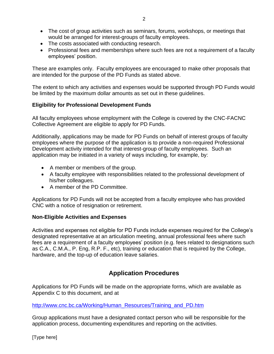- The cost of group activities such as seminars, forums, workshops, or meetings that would be arranged for interest-groups of faculty employees.
- The costs associated with conducting research.
- Professional fees and memberships where such fees are not a requirement of a faculty employees' position.

These are examples only. Faculty employees are encouraged to make other proposals that are intended for the purpose of the PD Funds as stated above.

The extent to which any activities and expenses would be supported through PD Funds would be limited by the maximum dollar amounts as set out in these guidelines.

## <span id="page-4-0"></span>**Eligibility for Professional Development Funds**

All faculty employees whose employment with the College is covered by the CNC-FACNC Collective Agreement are eligible to apply for PD Funds.

Additionally, applications may be made for PD Funds on behalf of interest groups of faculty employees where the purpose of the application is to provide a non-required Professional Development activity intended for that interest-group of faculty employees. Such an application may be initiated in a variety of ways including, for example, by:

- A member or members of the group.
- A faculty employee with responsibilities related to the professional development of his/her colleagues.
- A member of the PD Committee.

Applications for PD Funds will not be accepted from a faculty employee who has provided CNC with a notice of resignation or retirement.

#### <span id="page-4-1"></span>**Non-Eligible Activities and Expenses**

Activities and expenses not eligible for PD Funds include expenses required for the College's designated representative at an articulation meeting, annual professional fees where such fees are a requirement of a faculty employees' position (e.g. fees related to designations such as C.A., C.M.A., P. Eng, R.P. F., etc), training or education that is required by the College, hardware, and the top-up of education leave salaries.

## **Application Procedures**

<span id="page-4-2"></span>Applications for PD Funds will be made on the appropriate forms, which are available as Appendix C to this document, and at

#### [http://www.cnc.bc.ca/Working/Human\\_Resources/Training\\_and\\_PD.htm](http://www.cnc.bc.ca/Working/Human_Resources/Training_and_PD.htm)

Group applications must have a designated contact person who will be responsible for the application process, documenting expenditures and reporting on the activities.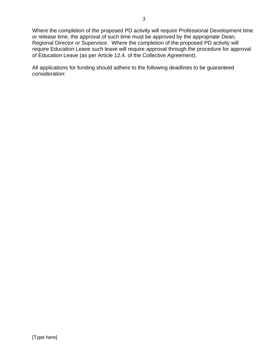Where the completion of the proposed PD activity will require Professional Development time or release time, the approval of such time must be approved by the appropriate Dean, Regional Director or Supervisor. Where the completion of the proposed PD activity will require Education Leave such leave will require approval through the procedure for approval of Education Leave (as per Article 12.4. of the Collective Agreement).

All applications for funding should adhere to the following deadlines to be guaranteed consideration: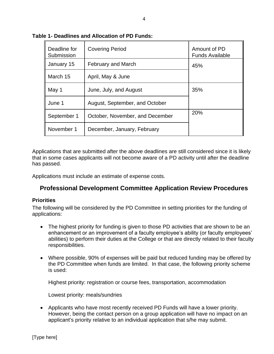| Deadline for<br>Submission | <b>Covering Period</b>          | Amount of PD<br><b>Funds Available</b> |
|----------------------------|---------------------------------|----------------------------------------|
| January 15                 | February and March              | 45%                                    |
| March 15                   | April, May & June               |                                        |
| May 1                      | June, July, and August          | 35%                                    |
| June 1                     | August, September, and October  |                                        |
| September 1                | October, November, and December | 20%                                    |
| November 1                 | December, January, February     |                                        |

#### <span id="page-6-0"></span>**Table 1- Deadlines and Allocation of PD Funds:**

Applications that are submitted after the above deadlines are still considered since it is likely that in some cases applicants will not become aware of a PD activity until after the deadline has passed.

<span id="page-6-1"></span>Applications must include an estimate of expense costs.

## **Professional Development Committee Application Review Procedures**

#### <span id="page-6-2"></span>**Priorities**

The following will be considered by the PD Committee in setting priorities for the funding of applications:

- The highest priority for funding is given to those PD activities that are shown to be an enhancement or an improvement of a faculty employee's ability (or faculty employees' abilities) to perform their duties at the College or that are directly related to their faculty responsibilities.
- Where possible, 90% of expenses will be paid but reduced funding may be offered by the PD Committee when funds are limited. In that case, the following priority scheme is used:

Highest priority: registration or course fees, transportation, accommodation

Lowest priority: meals/sundries

• Applicants who have most recently received PD Funds will have a lower priority. However, being the contact person on a group application will have no impact on an applicant's priority relative to an individual application that s/he may submit.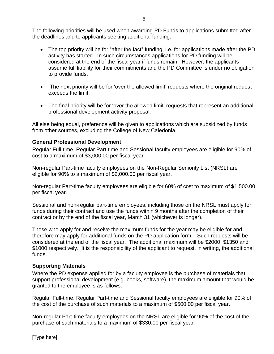The following priorities will be used when awarding PD Funds to applications submitted after the deadlines and to applicants seeking additional funding:

- The top priority will be for "after the fact" funding, i.e. for applications made after the PD activity has started. In such circumstances applications for PD funding will be considered at the end of the fiscal year if funds remain. However, the applicants assume full liability for their commitments and the PD Committee is under no obligation to provide funds.
- The next priority will be for 'over the allowed limit' requests where the original request exceeds the limit.
- The final priority will be for 'over the allowed limit' requests that represent an additional professional development activity proposal.

All else being equal, preference will be given to applications which are subsidized by funds from other sources, excluding the College of New Caledonia.

#### <span id="page-7-0"></span>**General Professional Development**

Regular Full-time, Regular Part-time and Sessional faculty employees are eligible for 90% of cost to a maximum of \$3,000.00 per fiscal year.

Non-regular Part-time faculty employees on the Non-Regular Seniority List (NRSL) are eligible for 90% to a maximum of \$2,000.00 per fiscal year.

Non-regular Part-time faculty employees are eligible for 60% of cost to maximum of \$1,500.00 per fiscal year.

Sessional and non-regular part-time employees, including those on the NRSL must apply for funds during their contract and use the funds within 9 months after the completion of their contract or by the end of the fiscal year, March 31 (whichever is longer).

Those who apply for and receive the maximum funds for the year may be eligible for and therefore may apply for additional funds on the PD application form. Such requests will be considered at the end of the fiscal year. The additional maximum will be \$2000, \$1350 and \$1000 respectively. It is the responsibility of the applicant to request, in writing, the additional funds.

#### <span id="page-7-1"></span>**Supporting Materials**

Where the PD expense applied for by a faculty employee is the purchase of materials that support professional development (e.g. books, software), the maximum amount that would be granted to the employee is as follows:

Regular Full-time, Regular Part-time and Sessional faculty employees are eligible for 90% of the cost of the purchase of such materials to a maximum of \$500.00 per fiscal year.

Non-regular Part-time faculty employees on the NRSL are eligible for 90% of the cost of the purchase of such materials to a maximum of \$330.00 per fiscal year.

[Type here]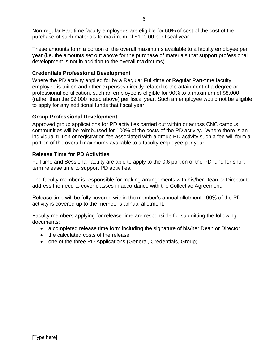Non-regular Part-time faculty employees are eligible for 60% of cost of the cost of the purchase of such materials to maximum of \$100.00 per fiscal year.

These amounts form a portion of the overall maximums available to a faculty employee per year (i.e. the amounts set out above for the purchase of materials that support professional development is not in addition to the overall maximums).

## <span id="page-8-0"></span>**Credentials Professional Development**

Where the PD activity applied for by a Regular Full-time or Regular Part-time faculty employee is tuition and other expenses directly related to the attainment of a degree or professional certification, such an employee is eligible for 90% to a maximum of \$8,000 (rather than the \$2,000 noted above) per fiscal year. Such an employee would not be eligible to apply for any additional funds that fiscal year.

## <span id="page-8-1"></span>**Group Professional Development**

Approved group applications for PD activities carried out within or across CNC campus communities will be reimbursed for 100% of the costs of the PD activity. Where there is an individual tuition or registration fee associated with a group PD activity such a fee will form a portion of the overall maximums available to a faculty employee per year.

## **Release Time for PD Activities**

Full time and Sessional faculty are able to apply to the 0.6 portion of the PD fund for short term release time to support PD activities.

The faculty member is responsible for making arrangements with his/her Dean or Director to address the need to cover classes in accordance with the Collective Agreement.

Release time will be fully covered within the member's annual allotment. 90% of the PD activity is covered up to the member's annual allotment.

Faculty members applying for release time are responsible for submitting the following documents:

- a completed release time form including the signature of his/her Dean or Director
- the calculated costs of the release
- <span id="page-8-2"></span>• one of the three PD Applications (General, Credentials, Group)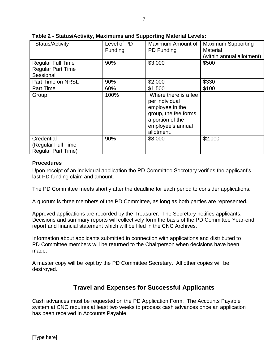| Status/Activity                                                   | Level of PD<br>Funding | Maximum Amount of<br>PD Funding                                                                                                          | <b>Maximum Supporting</b><br><b>Material</b><br>(within annual allotment) |
|-------------------------------------------------------------------|------------------------|------------------------------------------------------------------------------------------------------------------------------------------|---------------------------------------------------------------------------|
| <b>Regular Full Time</b><br><b>Regular Part Time</b><br>Sessional | 90%                    | \$3,000                                                                                                                                  | \$500                                                                     |
| Part Time on NRSL                                                 | 90%                    | \$2,000                                                                                                                                  | \$330                                                                     |
| Part Time                                                         | 60%                    | \$1,500                                                                                                                                  | \$100                                                                     |
| Group                                                             | 100%                   | Where there is a fee<br>per individual<br>employee in the<br>group, the fee forms<br>a portion of the<br>employee's annual<br>allotment. |                                                                           |
| Credential<br>(Regular Full Time<br><b>Regular Part Time)</b>     | 90%                    | \$8,000                                                                                                                                  | \$2,000                                                                   |

**Table 2 - Status/Activity, Maximums and Supporting Material Levels:**

## <span id="page-9-0"></span>**Procedures**

Upon receipt of an individual application the PD Committee Secretary verifies the applicant's last PD funding claim and amount.

The PD Committee meets shortly after the deadline for each period to consider applications.

A quorum is three members of the PD Committee, as long as both parties are represented.

Approved applications are recorded by the Treasurer. The Secretary notifies applicants. Decisions and summary reports will collectively form the basis of the PD Committee Year-end report and financial statement which will be filed in the CNC Archives.

Information about applicants submitted in connection with applications and distributed to PD Committee members will be returned to the Chairperson when decisions have been made.

<span id="page-9-1"></span>A master copy will be kept by the PD Committee Secretary. All other copies will be destroyed.

## **Travel and Expenses for Successful Applicants**

Cash advances must be requested on the PD Application Form. The Accounts Payable system at CNC requires at least two weeks to process cash advances once an application has been received in Accounts Payable.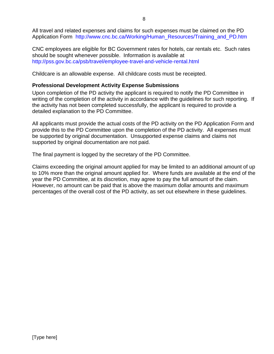All travel and related expenses and claims for such expenses must be claimed on the PD Application Form [http://www.cnc.bc.ca/Working/Human\\_Resources/Training\\_and\\_PD.htm](http://www.cnc.bc.ca/Working/Human_Resources/Training_and_PD.htm)

CNC employees are eligible for BC Government rates for hotels, car rentals etc. Such rates should be sought whenever possible. Information is available at <http://pss.gov.bc.ca/psb/travel/employee-travel-and-vehicle-rental.html>

Childcare is an allowable expense. All childcare costs must be receipted.

### <span id="page-10-0"></span>**Professional Development Activity Expense Submissions**

Upon completion of the PD activity the applicant is required to notify the PD Committee in writing of the completion of the activity in accordance with the quidelines for such reporting. If the activity has not been completed successfully, the applicant is required to provide a detailed explanation to the PD Committee.

All applicants must provide the actual costs of the PD activity on the PD Application Form and provide this to the PD Committee upon the completion of the PD activity. All expenses must be supported by original documentation. Unsupported expense claims and claims not supported by original documentation are not paid.

The final payment is logged by the secretary of the PD Committee.

Claims exceeding the original amount applied for may be limited to an additional amount of up to 10% more than the original amount applied for. Where funds are available at the end of the year the PD Committee, at its discretion, may agree to pay the full amount of the claim. However, no amount can be paid that is above the maximum dollar amounts and maximum percentages of the overall cost of the PD activity, as set out elsewhere in these guidelines.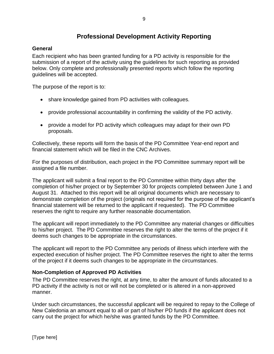## **Professional Development Activity Reporting**

## <span id="page-11-1"></span><span id="page-11-0"></span>**General**

Each recipient who has been granted funding for a PD activity is responsible for the submission of a report of the activity using the guidelines for such reporting as provided below. Only complete and professionally presented reports which follow the reporting guidelines will be accepted.

The purpose of the report is to:

- share knowledge gained from PD activities with colleagues.
- provide professional accountability in confirming the validity of the PD activity.
- provide a model for PD activity which colleagues may adapt for their own PD proposals.

Collectively, these reports will form the basis of the PD Committee Year-end report and financial statement which will be filed in the CNC Archives.

For the purposes of distribution, each project in the PD Committee summary report will be assigned a file number.

The applicant will submit a final report to the PD Committee within thirty days after the completion of his/her project or by September 30 for projects completed between June 1 and August 31. Attached to this report will be all original documents which are necessary to demonstrate completion of the project (originals not required for the purpose of the applicant's financial statement will be returned to the applicant if requested). The PD Committee reserves the right to require any further reasonable documentation.

The applicant will report immediately to the PD Committee any material changes or difficulties to his/her project. The PD Committee reserves the right to alter the terms of the project if it deems such changes to be appropriate in the circumstances.

The applicant will report to the PD Committee any periods of illness which interfere with the expected execution of his/her project. The PD Committee reserves the right to alter the terms of the project if it deems such changes to be appropriate in the circumstances.

## <span id="page-11-2"></span>**Non-Completion of Approved PD Activities**

The PD Committee reserves the right, at any time, to alter the amount of funds allocated to a PD activity if the activity is not or will not be completed or is altered in a non-approved manner.

Under such circumstances, the successful applicant will be required to repay to the College of New Caledonia an amount equal to all or part of his/her PD funds if the applicant does not carry out the project for which he/she was granted funds by the PD Committee.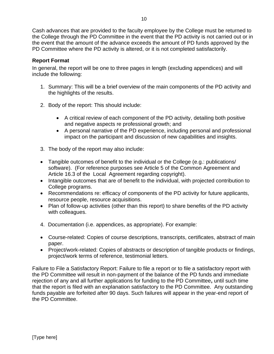Cash advances that are provided to the faculty employee by the College must be returned to the College through the PD Committee in the event that the PD activity is not carried out or in the event that the amount of the advance exceeds the amount of PD funds approved by the PD Committee where the PD activity is altered, or it is not completed satisfactorily.

### <span id="page-12-0"></span>**Report Format**

In general, the report will be one to three pages in length (excluding appendices) and will include the following:

- 1. Summary: This will be a brief overview of the main components of the PD activity and the highlights of the results.
- 2. Body of the report: This should include:
	- A critical review of each component of the PD activity, detailing both positive and negative aspects re professional growth; and
	- A personal narrative of the PD experience, including personal and professional impact on the participant and discussion of new capabilities and insights.
- 3. The body of the report may also include:
- Tangible outcomes of benefit to the individual or the College (e.g.: publications/ software). (For reference purposes see Article 5 of the Common Agreement and Article 16.3 of the Local Agreement regarding copyright).
- Intangible outcomes that are of benefit to the individual, with projected contribution to College programs.
- Recommendations re: efficacy of components of the PD activity for future applicants, resource people, resource acquisitions.
- Plan of follow-up activities (other than this report) to share benefits of the PD activity with colleagues.
- 4. Documentation (i.e. appendices, as appropriate). For example:
- Course-related: Copies of course descriptions, transcripts, certificates, abstract of main paper.
- Project/work-related: Copies of abstracts or description of tangible products or findings, project/work terms of reference, testimonial letters.

Failure to File a Satisfactory Report: Failure to file a report or to file a satisfactory report with the PD Committee will result in non-payment of the balance of the PD funds and immediate rejection of any and all further applications for funding to the PD Committee**,** until such time that the report is filed with an explanation satisfactory to the PD Committee. Any outstanding funds payable are forfeited after 90 days. Such failures will appear in the year-end report of the PD Committee.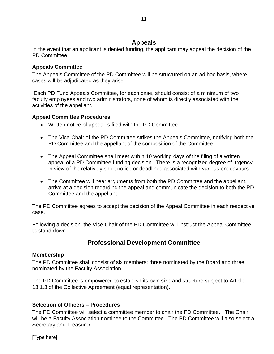## **Appeals**

<span id="page-13-0"></span>In the event that an applicant is denied funding, the applicant may appeal the decision of the PD Committee.

## <span id="page-13-1"></span>**Appeals Committee**

The Appeals Committee of the PD Committee will be structured on an ad hoc basis, where cases will be adjudicated as they arise.

Each PD Fund Appeals Committee, for each case, should consist of a minimum of two faculty employees and two administrators, none of whom is directly associated with the activities of the appellant.

## <span id="page-13-2"></span>**Appeal Committee Procedures**

- Written notice of appeal is filed with the PD Committee.
- The Vice-Chair of the PD Committee strikes the Appeals Committee, notifying both the PD Committee and the appellant of the composition of the Committee.
- The Appeal Committee shall meet within 10 working days of the filing of a written appeal of a PD Committee funding decision. There is a recognized degree of urgency, in view of the relatively short notice or deadlines associated with various endeavours.
- The Committee will hear arguments from both the PD Committee and the appellant, arrive at a decision regarding the appeal and communicate the decision to both the PD Committee and the appellant.

The PD Committee agrees to accept the decision of the Appeal Committee in each respective case.

<span id="page-13-3"></span>Following a decision, the Vice-Chair of the PD Committee will instruct the Appeal Committee to stand down.

## **Professional Development Committee**

## <span id="page-13-4"></span>**Membership**

The PD Committee shall consist of six members: three nominated by the Board and three nominated by the Faculty Association.

The PD Committee is empowered to establish its own size and structure subject to Article 13.1.3 of the Collective Agreement (equal representation).

## <span id="page-13-5"></span>**Selection of Officers – Procedures**

The PD Committee will select a committee member to chair the PD Committee. The Chair will be a Faculty Association nominee to the Committee. The PD Committee will also select a Secretary and Treasurer.

[Type here]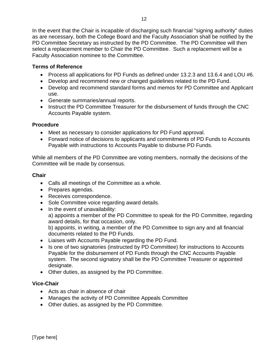In the event that the Chair is incapable of discharging such financial "signing authority" duties as are necessary, both the College Board and the Faculty Association shall be notified by the PD Committee Secretary as instructed by the PD Committee. The PD Committee will then select a replacement member to Chair the PD Committee. Such a replacement will be a Faculty Association nominee to the Committee.

### <span id="page-14-0"></span>**Terms of Reference**

- Process all applications for PD Funds as defined under 13.2.3 and 13.6.4 and LOU #6.
- Develop and recommend new or changed guidelines related to the PD Fund.
- Develop and recommend standard forms and memos for PD Committee and Applicant use.
- Generate summaries/annual reports.
- Instruct the PD Committee Treasurer for the disbursement of funds through the CNC Accounts Payable system.

#### <span id="page-14-1"></span>**Procedure**

- Meet as necessary to consider applications for PD Fund approval.
- Forward notice of decisions to applicants and commitments of PD Funds to Accounts Payable with instructions to Accounts Payable to disburse PD Funds.

While all members of the PD Committee are voting members, normally the decisions of the Committee will be made by consensus.

### <span id="page-14-2"></span>**Chair**

- Calls all meetings of the Committee as a whole.
- Prepares agendas.
- Receives correspondence.
- Sole Committee voice regarding award details.
- In the event of unavailability: a) appoints a member of the PD Committee to speak for the PD Committee, regarding award details, for that occasion, only. b) appoints, in writing, a member of the PD Committee to sign any and all financial documents related to the PD Funds.
- Liaises with Accounts Payable regarding the PD Fund.
- Is one of two signatories (instructed by PD Committee) for instructions to Accounts Payable for the disbursement of PD Funds through the CNC Accounts Payable system. The second signatory shall be the PD Committee Treasurer or appointed designate.
- Other duties, as assigned by the PD Committee.

## <span id="page-14-3"></span>**Vice-Chair**

- Acts as chair in absence of chair
- Manages the activity of PD Committee Appeals Committee
- Other duties, as assigned by the PD Committee.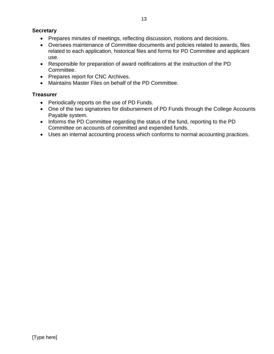- <span id="page-15-0"></span>• Prepares minutes of meetings, reflecting discussion, motions and decisions.
- Oversees maintenance of Committee documents and policies related to awards, files related to each application, historical files and forms for PD Committee and applicant use.
- Responsible for preparation of award notifications at the instruction of the PD Committee.
- Prepares report for CNC Archives.
- Maintains Master Files on behalf of the PD Committee.

## <span id="page-15-1"></span>**Treasurer**

- Periodically reports on the use of PD Funds.
- One of the two signatories for disbursement of PD Funds through the College Accounts Payable system.
- Informs the PD Committee regarding the status of the fund, reporting to the PD Committee on accounts of committed and expended funds.
- Uses an internal accounting process which conforms to normal accounting practices.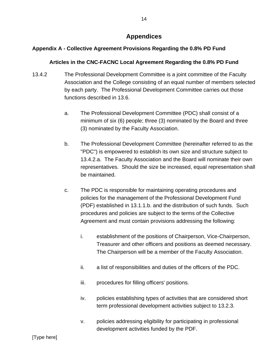## **Appendices**

## <span id="page-16-1"></span><span id="page-16-0"></span>**Appendix A - Collective Agreement Provisions Regarding the 0.8% PD Fund**

#### **Articles in the CNC-FACNC Local Agreement Regarding the 0.8% PD Fund**

- 13.4.2 The Professional Development Committee is a joint committee of the Faculty Association and the College consisting of an equal number of members selected by each party. The Professional Development Committee carries out those functions described in 13.6.
	- a. The Professional Development Committee (PDC) shall consist of a minimum of six (6) people; three (3) nominated by the Board and three (3) nominated by the Faculty Association.
	- b. The Professional Development Committee (hereinafter referred to as the "PDC") is empowered to establish its own size and structure subject to 13.4.2.a. The Faculty Association and the Board will nominate their own representatives. Should the size be increased, equal representation shall be maintained.
	- c. The PDC is responsible for maintaining operating procedures and policies for the management of the Professional Development Fund (PDF) established in 13.1.1.b. and the distribution of such funds. Such procedures and policies are subject to the terms of the Collective Agreement and must contain provisions addressing the following:
		- i. establishment of the positions of Chairperson, Vice-Chairperson, Treasurer and other officers and positions as deemed necessary. The Chairperson will be a member of the Faculty Association.
		- ii. a list of responsibilities and duties of the officers of the PDC.
		- iii. procedures for filling officers' positions.
		- iv. policies establishing types of activities that are considered short term professional development activities subject to 13.2.3.
		- v. policies addressing eligibility for participating in professional development activities funded by the PDF.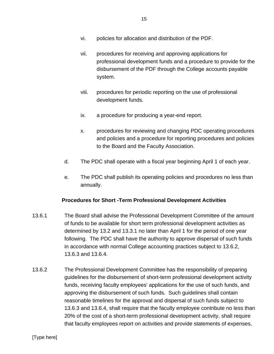- vi. policies for allocation and distribution of the PDF.
- vii. procedures for receiving and approving applications for professional development funds and a procedure to provide for the disbursement of the PDF through the College accounts payable system.
- viii. procedures for periodic reporting on the use of professional development funds.
- ix. a procedure for producing a year-end report.
- x. procedures for reviewing and changing PDC operating procedures and policies and a procedure for reporting procedures and policies to the Board and the Faculty Association.
- d. The PDC shall operate with a fiscal year beginning April 1 of each year.
- e. The PDC shall publish its operating policies and procedures no less than annually.

## **Procedures for Short -Term Professional Development Activities**

- 13.6.1 The Board shall advise the Professional Development Committee of the amount of funds to be available for short term professional development activities as determined by 13.2 and 13.3.1 no later than April 1 for the period of one year following. The PDC shall have the authority to approve dispersal of such funds in accordance with normal College accounting practices subject to 13.6.2, 13.6.3 and 13.6.4.
- 13.6.2 The Professional Development Committee has the responsibility of preparing guidelines for the disbursement of short-term professional development activity funds, receiving faculty employees' applications for the use of such funds, and approving the disbursement of such funds. Such guidelines shall contain reasonable timelines for the approval and dispersal of such funds subject to 13.6.3 and 13.6.4, shall require that the faculty employee contribute no less than 20% of the cost of a short-term professional development activity, shall require that faculty employees report on activities and provide statements of expenses,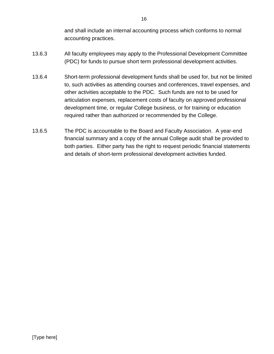and shall include an internal accounting process which conforms to normal accounting practices.

- 13.6.3 All faculty employees may apply to the Professional Development Committee (PDC) for funds to pursue short term professional development activities.
- 13.6.4 Short-term professional development funds shall be used for, but not be limited to, such activities as attending courses and conferences, travel expenses, and other activities acceptable to the PDC. Such funds are not to be used for articulation expenses, replacement costs of faculty on approved professional development time, or regular College business, or for training or education required rather than authorized or recommended by the College.
- 13.6.5 The PDC is accountable to the Board and Faculty Association. A year-end financial summary and a copy of the annual College audit shall be provided to both parties. Either party has the right to request periodic financial statements and details of short-term professional development activities funded.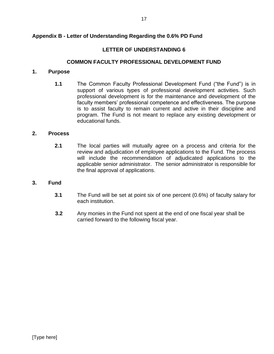## **LETTER OF UNDERSTANDING 6**

## **COMMON FACULTY PROFESSIONAL DEVELOPMENT FUND**

## <span id="page-19-2"></span><span id="page-19-1"></span><span id="page-19-0"></span>**1. Purpose**

**1.1** The Common Faculty Professional Development Fund ("the Fund") is in support of various types of professional development activities. Such professional development is for the maintenance and development of the faculty members' professional competence and effectiveness. The purpose is to assist faculty to remain current and active in their discipline and program. The Fund is not meant to replace any existing development or educational funds.

## **2. Process**

**2.1** The local parties will mutually agree on a process and criteria for the review and adjudication of employee applications to the Fund. The process will include the recommendation of adjudicated applications to the applicable senior administrator. The senior administrator is responsible for the final approval of applications.

## **3. Fund**

- **3.1** The Fund will be set at point six of one percent (0.6%) of faculty salary for each institution.
- **3.2** Any monies in the Fund not spent at the end of one fiscal year shall be carried forward to the following fiscal year.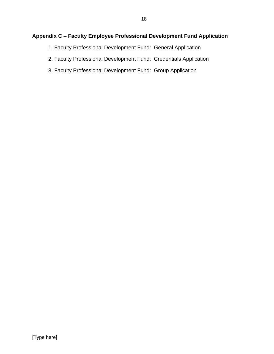## <span id="page-20-0"></span>**Appendix C – Faculty Employee Professional Development Fund Application**

- 1. Faculty Professional Development Fund: General Application
- 2. Faculty Professional Development Fund: Credentials Application
- 3. Faculty Professional Development Fund: Group Application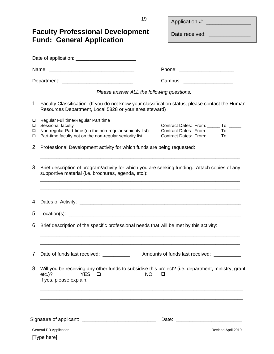Application #:

<span id="page-21-1"></span><span id="page-21-0"></span>

| <b>Faculty Professional Development</b><br><b>Fund: General Application</b>                                                                                                                          | Date received: <b>Example 2014</b>                                                                                      |
|------------------------------------------------------------------------------------------------------------------------------------------------------------------------------------------------------|-------------------------------------------------------------------------------------------------------------------------|
|                                                                                                                                                                                                      |                                                                                                                         |
|                                                                                                                                                                                                      |                                                                                                                         |
|                                                                                                                                                                                                      |                                                                                                                         |
|                                                                                                                                                                                                      | Campus: Campus:                                                                                                         |
| Please answer ALL the following questions.                                                                                                                                                           |                                                                                                                         |
| 1. Faculty Classification: (If you do not know your classification status, please contact the Human<br>Resources Department, Local 5828 or your area steward)                                        |                                                                                                                         |
| Regular Full time/Regular Part time<br>□<br>Sessional faculty<br>⊔<br>Non-regular Part-time (on the non-regular seniority list)<br>□<br>Part-time faculty not on the non-regular seniority list<br>□ | Contract Dates: From: _____ To: ____<br>Contract Dates: From: _____ To: _____<br>Contract Dates: From: ______ To: _____ |
| 2. Professional Development activity for which funds are being requested:                                                                                                                            |                                                                                                                         |
| 3. Brief description of program/activity for which you are seeking funding. Attach copies of any<br>supportive material (i.e. brochures, agenda, etc.):                                              |                                                                                                                         |
|                                                                                                                                                                                                      |                                                                                                                         |
| 6. Brief description of the specific professional needs that will be met by this activity:                                                                                                           |                                                                                                                         |
| Date of funds last received: __________<br>7.                                                                                                                                                        | Amounts of funds last received: __________                                                                              |
| 8. Will you be receiving any other funds to subsidise this project? (i.e. department, ministry, grant,<br>$etc.$ )?<br><b>YFS</b><br><b>NO</b><br>◻<br>If yes, please explain.                       |                                                                                                                         |
|                                                                                                                                                                                                      |                                                                                                                         |
| General PD Application<br>[Type here]                                                                                                                                                                | Revised April 2010                                                                                                      |

19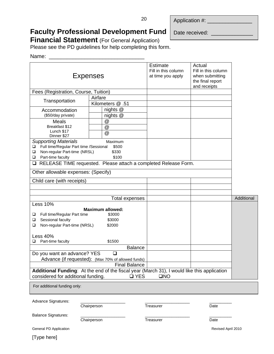|  | Application #: |  |
|--|----------------|--|
|  |                |  |

# **Faculty Professional Development Fund**

Date received: \_

**Financial Statement** (For General Application)

Please see the PD guidelines for help completing this form.

#### Name: \_\_\_\_\_\_\_\_\_\_\_\_\_\_\_\_\_\_\_\_\_\_\_\_\_\_\_\_\_\_\_\_

|                                                                                                                 | <b>Expenses</b>                                       | <b>Estimate</b><br>Fill in this column<br>at time you apply                                 | Actual<br>Fill in this column<br>when submitting<br>the final report<br>and receipts |            |
|-----------------------------------------------------------------------------------------------------------------|-------------------------------------------------------|---------------------------------------------------------------------------------------------|--------------------------------------------------------------------------------------|------------|
| Fees (Registration, Course, Tuition)                                                                            |                                                       |                                                                                             |                                                                                      |            |
|                                                                                                                 | Airfare                                               |                                                                                             |                                                                                      |            |
| Transportation                                                                                                  | Kilometers @ .51                                      |                                                                                             |                                                                                      |            |
| Accommodation                                                                                                   | nights @                                              |                                                                                             |                                                                                      |            |
| (\$50/day private)                                                                                              | nights @                                              |                                                                                             |                                                                                      |            |
| Meals                                                                                                           | @                                                     |                                                                                             |                                                                                      |            |
| Breakfast \$12                                                                                                  | @                                                     |                                                                                             |                                                                                      |            |
| Lunch \$17<br>Dinner \$27                                                                                       | @                                                     |                                                                                             |                                                                                      |            |
| <b>Supporting Materials</b><br>Full time/Regular Part time /Sessional<br>□<br>Non-regular Part-time (NRSL)<br>Q | Maximum<br>\$500<br>\$330                             |                                                                                             |                                                                                      |            |
| Part-time faculty<br>Q.                                                                                         | \$100                                                 |                                                                                             |                                                                                      |            |
| u.                                                                                                              |                                                       | RELEASE TIME requested. Please attach a completed Release Form.                             |                                                                                      |            |
| Other allowable expenses: (Specify)                                                                             |                                                       |                                                                                             |                                                                                      |            |
| Child care (with receipts)                                                                                      |                                                       |                                                                                             |                                                                                      |            |
|                                                                                                                 |                                                       |                                                                                             |                                                                                      |            |
|                                                                                                                 |                                                       |                                                                                             |                                                                                      |            |
| <b>Less 10%</b>                                                                                                 | Total expenses                                        |                                                                                             |                                                                                      | Additional |
| Full time/Regular Part time<br>❏<br>Sessional faculty<br>o.<br>Non-regular Part-time (NRSL)<br>❏                | <b>Maximum allowed:</b><br>\$3000<br>\$3000<br>\$2000 |                                                                                             |                                                                                      |            |
| <b>Less 40%</b>                                                                                                 |                                                       |                                                                                             |                                                                                      |            |
| Part-time faculty<br>Q.                                                                                         | \$1500                                                |                                                                                             |                                                                                      |            |
|                                                                                                                 |                                                       | <b>Balance</b>                                                                              |                                                                                      |            |
| Do you want an advance? YES                                                                                     | ⊔                                                     |                                                                                             |                                                                                      |            |
| Advance (if requested): (Max 70% of allowed funds)                                                              | <b>Final Balance</b>                                  |                                                                                             |                                                                                      |            |
|                                                                                                                 |                                                       | Additional Funding: At the end of the fiscal year (March 31), I would like this application |                                                                                      |            |
| considered for additional funding.                                                                              |                                                       | $\square$ YES<br>$\square NO$                                                               |                                                                                      |            |
| For additional funding only:                                                                                    |                                                       |                                                                                             |                                                                                      |            |
| Advance Signatures:                                                                                             | Chairperson                                           | Treasurer                                                                                   | Date                                                                                 |            |
| <b>Balance Signatures:</b>                                                                                      | Chairperson                                           | Treasurer                                                                                   | Date                                                                                 |            |
| General PD Application                                                                                          |                                                       |                                                                                             | Revised April 2010                                                                   |            |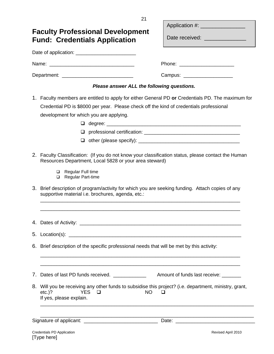<span id="page-23-1"></span><span id="page-23-0"></span>

|  | 21                                                                                                                                                                                                                                                                                                                                                                         |                                   |  |  |
|--|----------------------------------------------------------------------------------------------------------------------------------------------------------------------------------------------------------------------------------------------------------------------------------------------------------------------------------------------------------------------------|-----------------------------------|--|--|
|  | <b>Faculty Professional Development</b>                                                                                                                                                                                                                                                                                                                                    | Application #: __________________ |  |  |
|  | <b>Fund: Credentials Application</b>                                                                                                                                                                                                                                                                                                                                       | Date received:                    |  |  |
|  | Date of application: ____________________________                                                                                                                                                                                                                                                                                                                          |                                   |  |  |
|  |                                                                                                                                                                                                                                                                                                                                                                            |                                   |  |  |
|  | Department: ___________________________________                                                                                                                                                                                                                                                                                                                            | Campus: ______________________    |  |  |
|  | Please answer ALL the following questions.                                                                                                                                                                                                                                                                                                                                 |                                   |  |  |
|  | 1. Faculty members are entitled to apply for either General PD or Credentials PD. The maximum for<br>Credential PD is \$8000 per year. Please check off the kind of credentials professional<br>development for which you are applying.<br>⊔<br>□                                                                                                                          |                                   |  |  |
|  | 2. Faculty Classification: (If you do not know your classification status, please contact the Human<br>Resources Department, Local 5828 or your area steward)<br>Regular Full time<br>□<br>Regular Part-time<br>□<br>3. Brief description of program/activity for which you are seeking funding. Attach copies of any<br>supportive material i.e. brochures, agenda, etc.: |                                   |  |  |
|  | 4. Dates of Activity: <u>example and the set of the set of the set of the set of the set of the set of the set of the set of the set of the set of the set of the set of the set of the set of the set of the set of the set of </u><br>6. Brief description of the specific professional needs that will be met by this activity:                                         |                                   |  |  |
|  | 8. Will you be receiving any other funds to subsidise this project? (i.e. department, ministry, grant,<br><b>YES</b><br>$etc.$ )?<br><b>NO</b><br>⊔<br>If yes, please explain.                                                                                                                                                                                             |                                   |  |  |
|  |                                                                                                                                                                                                                                                                                                                                                                            |                                   |  |  |
|  | Credentials PD Application                                                                                                                                                                                                                                                                                                                                                 | Revised April 2010                |  |  |

[Type here]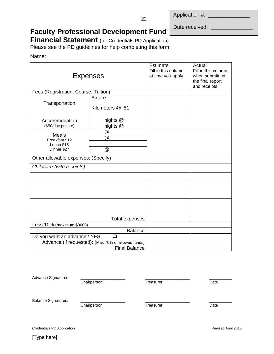Application #:

22

Date received: \_\_\_\_\_\_\_\_\_\_

# **Faculty Professional Development Fund**

**Financial Statement** (for Credentials PD Application)

Please see the PD guidelines for help completing this form.

#### Name: \_\_\_\_\_\_\_\_\_\_\_\_\_\_\_\_\_\_\_\_\_\_\_\_\_\_\_\_\_\_\_\_

|                                      | <b>Expenses</b>                                    | <b>Estimate</b><br>Fill in this column<br>at time you apply | Actual<br>Fill in this column<br>when submitting<br>the final report<br>and receipts |
|--------------------------------------|----------------------------------------------------|-------------------------------------------------------------|--------------------------------------------------------------------------------------|
| Fees (Registration, Course, Tuition) |                                                    |                                                             |                                                                                      |
| Transportation                       | Airfare                                            |                                                             |                                                                                      |
|                                      | Kilometers @ .51                                   |                                                             |                                                                                      |
| Accommodation                        | nights @                                           |                                                             |                                                                                      |
| (\$50/day private)                   | nights @                                           |                                                             |                                                                                      |
| <b>Meals</b>                         | $^{\copyright}$                                    |                                                             |                                                                                      |
| Breakfast \$12                       | @                                                  |                                                             |                                                                                      |
| Lunch \$15                           |                                                    |                                                             |                                                                                      |
| Dinner \$27                          | $^{\circledR}$                                     |                                                             |                                                                                      |
| Other allowable expenses: (Specify)  |                                                    |                                                             |                                                                                      |
| Childcare (with receipts)            |                                                    |                                                             |                                                                                      |
|                                      |                                                    |                                                             |                                                                                      |
|                                      |                                                    |                                                             |                                                                                      |
|                                      |                                                    |                                                             |                                                                                      |
|                                      |                                                    |                                                             |                                                                                      |
|                                      |                                                    |                                                             |                                                                                      |
|                                      | Total expenses                                     |                                                             |                                                                                      |
| Less 10% (maximum \$8000)            |                                                    |                                                             |                                                                                      |
|                                      | <b>Balance</b>                                     |                                                             |                                                                                      |
| Do you want an advance? YES          |                                                    |                                                             |                                                                                      |
|                                      | Advance (if requested): (Max 70% of allowed funds) |                                                             |                                                                                      |
|                                      | <b>Final Balance</b>                               |                                                             |                                                                                      |

| Advance Signatures:        |             |           |      |
|----------------------------|-------------|-----------|------|
|                            | Chairperson | Treasurer | Date |
| <b>Balance Signatures:</b> | Chairperson | Treasurer | Date |

Credentials PD Application Revised April 2010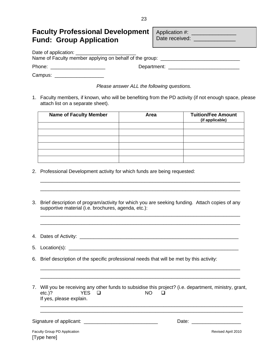## <span id="page-25-1"></span><span id="page-25-0"></span>**Faculty Professional Development Fund: Group Application**

| Application #: |  |
|----------------|--|
| Date received: |  |

Date of application:

Name of Faculty member applying on behalf of the group: \_\_\_\_\_\_\_\_\_\_\_\_\_\_\_\_\_\_\_\_\_\_\_\_

Phone: \_\_\_\_\_\_\_\_\_\_\_\_\_\_\_\_\_\_\_\_ Department: \_\_\_\_\_\_\_\_\_\_\_\_\_\_\_\_\_\_\_\_\_\_\_\_\_\_

Campus: \_\_\_\_\_\_\_\_\_\_\_\_\_\_\_\_\_\_\_\_\_\_\_

*Please answer ALL the following questions.*

1. Faculty members, if known, who will be benefiting from the PD activity (if not enough space, please attach list on a separate sheet).

| <b>Name of Faculty Member</b> | Area | <b>Tuition/Fee Amount</b><br>(if applicable) |
|-------------------------------|------|----------------------------------------------|
|                               |      |                                              |
|                               |      |                                              |
|                               |      |                                              |
|                               |      |                                              |
|                               |      |                                              |
|                               |      |                                              |

- 2. Professional Development activity for which funds are being requested:
- 3. Brief description of program/activity for which you are seeking funding. Attach copies of any supportive material (i.e. brochures, agenda, etc.):

\_\_\_\_\_\_\_\_\_\_\_\_\_\_\_\_\_\_\_\_\_\_\_\_\_\_\_\_\_\_\_\_\_\_\_\_\_\_\_\_\_\_\_\_\_\_\_\_\_\_\_\_\_\_\_\_\_\_\_\_\_\_\_\_\_\_\_\_\_\_\_\_\_ \_\_\_\_\_\_\_\_\_\_\_\_\_\_\_\_\_\_\_\_\_\_\_\_\_\_\_\_\_\_\_\_\_\_\_\_\_\_\_\_\_\_\_\_\_\_\_\_\_\_\_\_\_\_\_\_\_\_\_\_\_\_\_\_\_\_\_\_\_\_\_\_\_

\_\_\_\_\_\_\_\_\_\_\_\_\_\_\_\_\_\_\_\_\_\_\_\_\_\_\_\_\_\_\_\_\_\_\_\_\_\_\_\_\_\_\_\_\_\_\_\_\_\_\_\_\_\_\_\_\_\_\_\_\_\_\_\_\_\_\_\_\_\_\_\_\_ \_\_\_\_\_\_\_\_\_\_\_\_\_\_\_\_\_\_\_\_\_\_\_\_\_\_\_\_\_\_\_\_\_\_\_\_\_\_\_\_\_\_\_\_\_\_\_\_\_\_\_\_\_\_\_\_\_\_\_\_\_\_\_\_\_\_\_\_\_\_\_\_\_

- 4. Dates of Activity:  $\blacksquare$
- 5. Location(s): \_\_\_\_\_\_\_\_\_\_\_\_\_\_\_\_\_\_\_\_\_\_\_\_\_\_\_\_\_\_\_\_\_\_\_\_\_\_\_\_\_\_\_\_\_\_\_\_\_\_\_\_\_\_\_\_\_\_\_\_\_\_
- 6. Brief description of the specific professional needs that will be met by this activity:
- 7. Will you be receiving any other funds to subsidise this project? (i.e. department, ministry, grant, etc.)? YES ❑ NO ❑ If yes, please explain. \_\_\_\_\_\_\_\_\_\_\_\_\_\_\_\_\_\_\_\_\_\_\_\_\_\_\_\_\_\_\_\_\_\_\_\_\_\_\_\_\_\_\_\_\_\_\_\_\_\_\_\_\_\_\_\_\_\_\_\_\_\_\_\_\_\_\_\_\_\_\_\_\_\_

\_\_\_\_\_\_\_\_\_\_\_\_\_\_\_\_\_\_\_\_\_\_\_\_\_\_\_\_\_\_\_\_\_\_\_\_\_\_\_\_\_\_\_\_\_\_\_\_\_\_\_\_\_\_\_\_\_\_\_\_\_\_\_\_\_\_\_\_\_\_\_\_\_\_

\_\_\_\_\_\_\_\_\_\_\_\_\_\_\_\_\_\_\_\_\_\_\_\_\_\_\_\_\_\_\_\_\_\_\_\_\_\_\_\_\_\_\_\_\_\_\_\_\_\_\_\_\_\_\_\_\_\_\_\_\_\_\_\_\_\_\_\_\_\_\_\_\_ \_\_\_\_\_\_\_\_\_\_\_\_\_\_\_\_\_\_\_\_\_\_\_\_\_\_\_\_\_\_\_\_\_\_\_\_\_\_\_\_\_\_\_\_\_\_\_\_\_\_\_\_\_\_\_\_\_\_\_\_\_\_\_\_\_\_\_\_\_\_\_\_\_

Signature of applicant: \_\_\_\_\_\_\_\_\_\_\_\_\_\_\_\_\_\_\_\_\_\_\_\_\_\_\_ Date: \_\_\_\_\_\_\_\_\_\_\_\_\_\_\_\_\_\_

23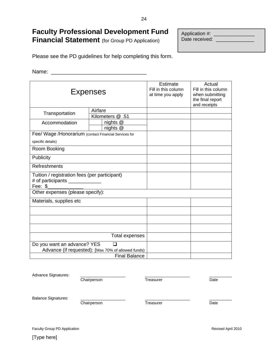## **Faculty Professional Development Fund Financial Statement** (for Group PD Application)

Application #: \_\_\_\_\_\_\_\_\_\_\_\_\_\_\_ Date received: \_\_\_\_\_\_\_\_\_\_\_\_\_\_

Please see the PD guidelines for help completing this form.

Name:

| <b>Expenses</b>                                                                             |                                                    | <b>Estimate</b><br>Fill in this column<br>at time you apply | Actual<br>Fill in this column<br>when submitting<br>the final report<br>and receipts |
|---------------------------------------------------------------------------------------------|----------------------------------------------------|-------------------------------------------------------------|--------------------------------------------------------------------------------------|
| Transportation                                                                              | Airfare                                            |                                                             |                                                                                      |
|                                                                                             | Kilometers @ .51                                   |                                                             |                                                                                      |
| Accommodation                                                                               | nights @                                           |                                                             |                                                                                      |
|                                                                                             | nights $@$                                         |                                                             |                                                                                      |
| Fee/ Wage /Honorarium (contact Financial Services for                                       |                                                    |                                                             |                                                                                      |
| specific details)                                                                           |                                                    |                                                             |                                                                                      |
| Room Booking                                                                                |                                                    |                                                             |                                                                                      |
| Publicity                                                                                   |                                                    |                                                             |                                                                                      |
| Refreshments                                                                                |                                                    |                                                             |                                                                                      |
| Tuition / registration fees (per participant)<br># of participants _____________<br>Fee: \$ |                                                    |                                                             |                                                                                      |
| Other expenses (please specify):                                                            |                                                    |                                                             |                                                                                      |
| Materials, supplies etc                                                                     |                                                    |                                                             |                                                                                      |
|                                                                                             |                                                    |                                                             |                                                                                      |
|                                                                                             |                                                    |                                                             |                                                                                      |
|                                                                                             |                                                    |                                                             |                                                                                      |
|                                                                                             | <b>Total expenses</b>                              |                                                             |                                                                                      |
| Do you want an advance? YES                                                                 | $\Box$                                             |                                                             |                                                                                      |
|                                                                                             | Advance (if requested): (Max 70% of allowed funds) |                                                             |                                                                                      |
|                                                                                             | <b>Final Balance</b>                               |                                                             |                                                                                      |

| <b>Advance Signatures:</b> |             |           |      |
|----------------------------|-------------|-----------|------|
|                            | Chairperson | Treasurer | Date |
| <b>Balance Signatures:</b> |             |           |      |
|                            | Chairperson | Treasurer | Date |
|                            |             |           |      |
|                            |             |           |      |